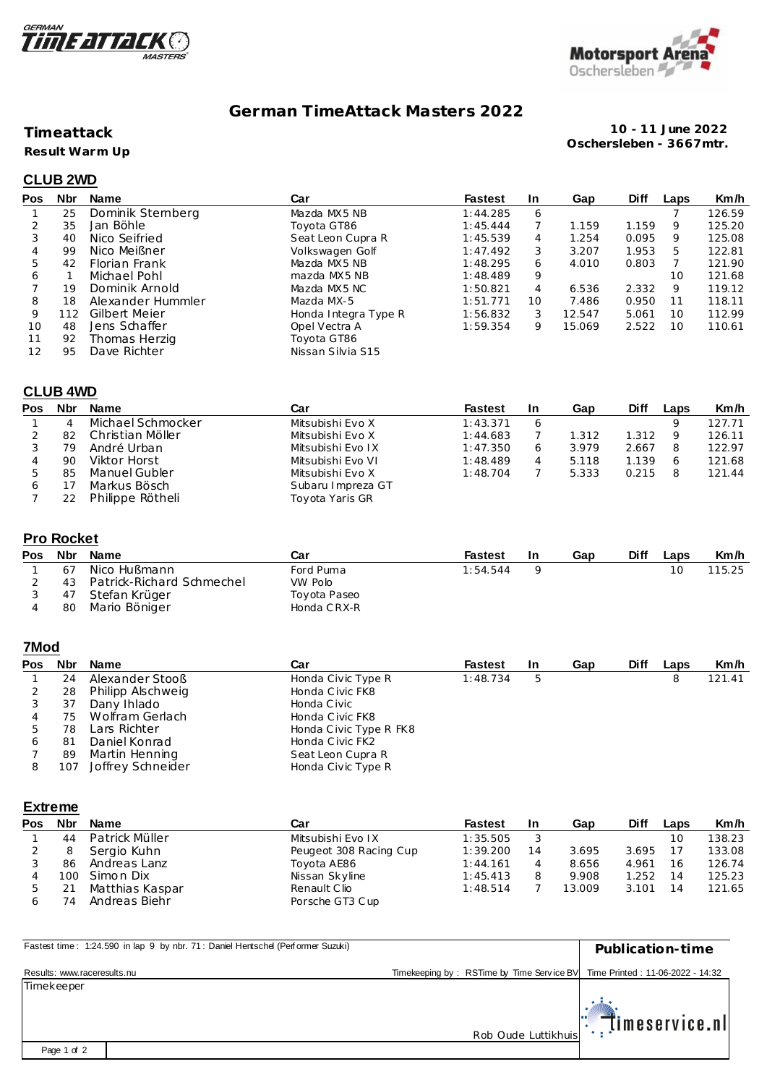



# **German TimeAttack Masters 2022**

### **Timeattack**

**Result Warm Up**

**10 - 11 June 2022 Oschersleben - 3667mtr.**

## **CLUB 2WD**

| Pos | <b>Nbr</b> | Name              | Car                  | <b>Fastest</b> | <u>In</u> | Gap    | <b>Diff</b> | Laps | Km/h   |
|-----|------------|-------------------|----------------------|----------------|-----------|--------|-------------|------|--------|
|     | 25         | Dominik Stemberg  | Mazda MX5 NB         | 1:44.285       | 6         |        |             |      | 126.59 |
|     | 35         | Jan Böhle         | Toyota GT86          | 1:45.444       |           | 1.159  | 1.159       | 9    | 125.20 |
| 3   | 40         | Nico Seifried     | Seat Leon Cupra R    | 1:45.539       | 4         | 1.254  | 0.095       | 9    | 125.08 |
| 4   | 99         | Nico Meißner      | Volkswagen Golf      | 1:47.492       | 3         | 3.207  | 1.953       | 5    | 122.81 |
| 5   | 42         | Florian Frank     | Mazda MX5 NB         | 1:48.295       | 6         | 4.010  | 0.803       |      | 121.90 |
| 6   |            | Michael Pohl      | mazda MX5 NB         | 1:48.489       | 9         |        |             | 10   | 121.68 |
|     | 19         | Dominik Arnold    | Mazda MX5 NC         | 1:50.821       | 4         | 6.536  | 2.332       | 9    | 119.12 |
| 8   | 18         | Alexander Hummler | Mazda MX-5           | 1:51.771       | 10        | 7.486  | 0.950       | 11   | 118.11 |
| 9   | 112        | Gilbert Meier     | Honda Integra Type R | 1:56.832       | 3         | 12.547 | 5.061       | 10   | 112.99 |
| 10  | 48         | Jens Schaffer     | Opel Vectra A        | 1:59.354       | 9         | 15.069 | 2.522       | 10   | 110.61 |
| 11  | 92         | Thomas Herzig     | Toyota GT86          |                |           |        |             |      |        |
| 12  | 95         | Dave Richter      | Nissan Silvia S15    |                |           |        |             |      |        |

#### **CLUB 4WD**

| Pos | <b>Nbr</b> | <b>Name</b>       | Car               | <b>Fastest</b> | -In | Gap   | <b>Diff</b> | Laps | Km/h   |
|-----|------------|-------------------|-------------------|----------------|-----|-------|-------------|------|--------|
|     | 4          | Michael Schmocker | Mitsubishi Evo X  | 1:43.371       |     |       |             |      | 127.71 |
|     | 82         | Christian Möller  | Mitsubishi Evo X  | 1:44.683       |     | 1.312 | 1.312       |      | 126.11 |
|     | 79         | André Urban       | Mitsubishi Evo IX | 1:47.350       |     | 3.979 | 2.667       |      | 122.97 |
|     | 90         | Viktor Horst      | Mitsubishi Evo VI | 1:48.489       |     | 5.118 | 1.139       |      | 121.68 |
|     | 85         | Manuel Gubler     | Mitsubishi Evo X  | 1:48.704       |     | 5.333 | 0.215       | 8    | 121.44 |
|     |            | Markus Bösch      | Subaru Impreza GT |                |     |       |             |      |        |
|     |            | Philippe Rötheli  | Toyota Yaris GR   |                |     |       |             |      |        |

#### **Pro Rocket**

| Pos Nbr | Name                         | Car          | Fastest  | -In | Gap | Diff | Laps | Km/h   |
|---------|------------------------------|--------------|----------|-----|-----|------|------|--------|
| 67      | Nico Hußmann                 | Ford Puma    | 1:54.544 |     |     |      |      | 115.25 |
|         | 43 Patrick-Richard Schmechel | VW Polo      |          |     |     |      |      |        |
| 47      | Stefan Krüger                | Toyota Paseo |          |     |     |      |      |        |
| -80     | Mario Böniger                | Honda CRX-R  |          |     |     |      |      |        |

### **7Mod**

| Pos | <b>Nbr</b> | Name              | Car                    | <b>Fastest</b> | <b>In</b> | Gap | <b>Diff</b> | Laps | Km/h   |
|-----|------------|-------------------|------------------------|----------------|-----------|-----|-------------|------|--------|
|     | 24         | Alexander Stooß   | Honda Civic Type R     | 1:48.734       | 5         |     |             |      | 121.41 |
|     | 28         | Philipp Alschweig | Honda Civic FK8        |                |           |     |             |      |        |
|     | 37         | Dany Ihlado       | Honda Civic            |                |           |     |             |      |        |
|     | 75         | Wolfram Gerlach   | Honda Civic FK8        |                |           |     |             |      |        |
| ь   | 78         | Lars Richter      | Honda Civic Type R FK8 |                |           |     |             |      |        |
| 6   | 81         | Daniel Konrad     | Honda Civic FK2        |                |           |     |             |      |        |
|     | 89         | Martin Henning    | Seat Leon Cupra R      |                |           |     |             |      |        |
|     | 107        | Joffrey Schneider | Honda Civic Type R     |                |           |     |             |      |        |

#### **Extreme**

| Pos | <b>Nbr</b> | <b>Name</b>     | Car                    | <b>Fastest</b> | In | Gap    | Diff  | Laps | Km/h   |
|-----|------------|-----------------|------------------------|----------------|----|--------|-------|------|--------|
|     | 44         | Patrick Müller  | Mitsubishi Evo IX      | 1:35.505       |    |        |       | 10   | 138.23 |
|     |            | Sergio Kuhn     | Peugeot 308 Racing Cup | 1:39.200       | 14 | 3.695  | 3.695 | 17   | 133.08 |
|     | 86         | Andreas Lanz    | Toyota AE86            | 1:44.161       |    | 8.656  | 4.961 | 16   | 126.74 |
|     | 100        | Simon Dix       | Nissan Skyline         | 1:45.413       |    | 9.908  | 1.252 | 14   | 125.23 |
|     |            | Matthias Kaspar | Renault Clio           | 1:48.514       |    | 13.009 | 3.101 | 14   | 121.65 |
|     | 74         | Andreas Biehr   | Porsche GT3 Cup        |                |    |        |       |      |        |

| Fastest time: 1:24.590 in lap 9 by nbr. 71: Daniel Hentschel (Performer Suzuki) |                                                                            | Publication-time  |
|---------------------------------------------------------------------------------|----------------------------------------------------------------------------|-------------------|
| Results: www.raceresults.nu                                                     | Timekeeping by: RSTime by Time Service BV Time Printed: 11-06-2022 - 14:32 |                   |
| Timekeeper                                                                      |                                                                            |                   |
|                                                                                 |                                                                            |                   |
|                                                                                 | Rob Oude Luttikhuis                                                        | l: timeservice.nl |
| Page 1 of 2                                                                     |                                                                            |                   |